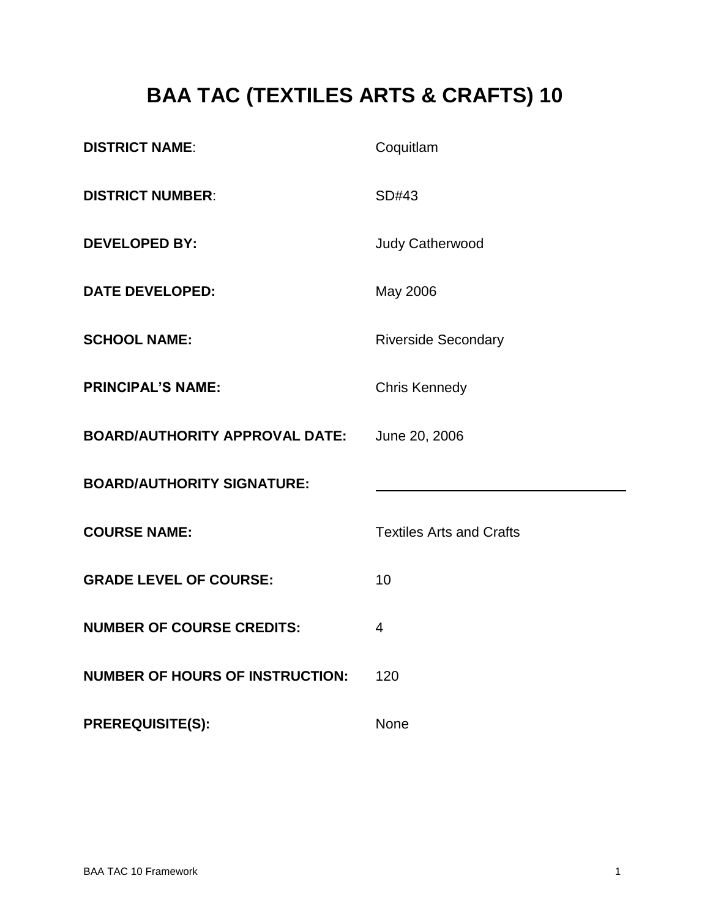# **BAA TAC (TEXTILES ARTS & CRAFTS) 10**

| <b>DISTRICT NAME:</b>                  | Coquitlam                       |
|----------------------------------------|---------------------------------|
| <b>DISTRICT NUMBER:</b>                | SD#43                           |
| <b>DEVELOPED BY:</b>                   | <b>Judy Catherwood</b>          |
| <b>DATE DEVELOPED:</b>                 | May 2006                        |
| <b>SCHOOL NAME:</b>                    | <b>Riverside Secondary</b>      |
| <b>PRINCIPAL'S NAME:</b>               | <b>Chris Kennedy</b>            |
| <b>BOARD/AUTHORITY APPROVAL DATE:</b>  | June 20, 2006                   |
| <b>BOARD/AUTHORITY SIGNATURE:</b>      |                                 |
| <b>COURSE NAME:</b>                    | <b>Textiles Arts and Crafts</b> |
| <b>GRADE LEVEL OF COURSE:</b>          | 10                              |
| <b>NUMBER OF COURSE CREDITS:</b>       | $\overline{4}$                  |
| <b>NUMBER OF HOURS OF INSTRUCTION:</b> | 120                             |
| <b>PREREQUISITE(S):</b>                | None                            |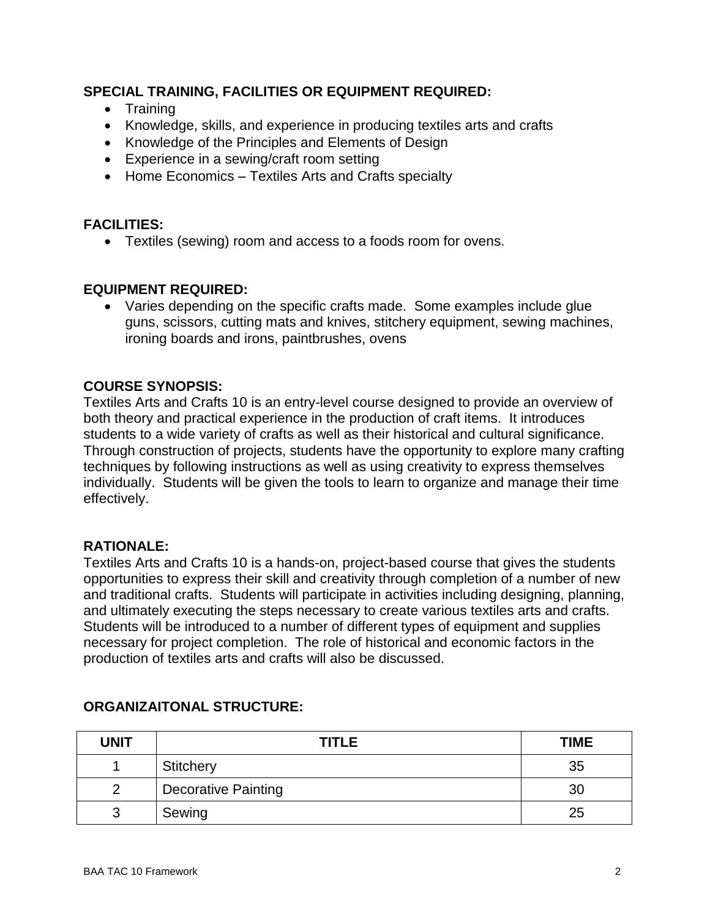# **SPECIAL TRAINING, FACILITIES OR EQUIPMENT REQUIRED:**

- Training
- Knowledge, skills, and experience in producing textiles arts and crafts
- Knowledge of the Principles and Elements of Design
- Experience in a sewing/craft room setting
- Home Economics Textiles Arts and Crafts specialty

# **FACILITIES:**

Textiles (sewing) room and access to a foods room for ovens.

# **EQUIPMENT REQUIRED:**

 Varies depending on the specific crafts made. Some examples include glue guns, scissors, cutting mats and knives, stitchery equipment, sewing machines, ironing boards and irons, paintbrushes, ovens

# **COURSE SYNOPSIS:**

Textiles Arts and Crafts 10 is an entry-level course designed to provide an overview of both theory and practical experience in the production of craft items. It introduces students to a wide variety of crafts as well as their historical and cultural significance. Through construction of projects, students have the opportunity to explore many crafting techniques by following instructions as well as using creativity to express themselves individually. Students will be given the tools to learn to organize and manage their time effectively.

#### **RATIONALE:**

Textiles Arts and Crafts 10 is a hands-on, project-based course that gives the students opportunities to express their skill and creativity through completion of a number of new and traditional crafts. Students will participate in activities including designing, planning, and ultimately executing the steps necessary to create various textiles arts and crafts. Students will be introduced to a number of different types of equipment and supplies necessary for project completion. The role of historical and economic factors in the production of textiles arts and crafts will also be discussed.

| <b>UNIT</b> | <b>TITLE</b>               | <b>TIME</b> |
|-------------|----------------------------|-------------|
|             | <b>Stitchery</b>           | 35          |
| ◠           | <b>Decorative Painting</b> | 30          |
| ≏           | Sewing                     | 25          |

# **ORGANIZAITONAL STRUCTURE:**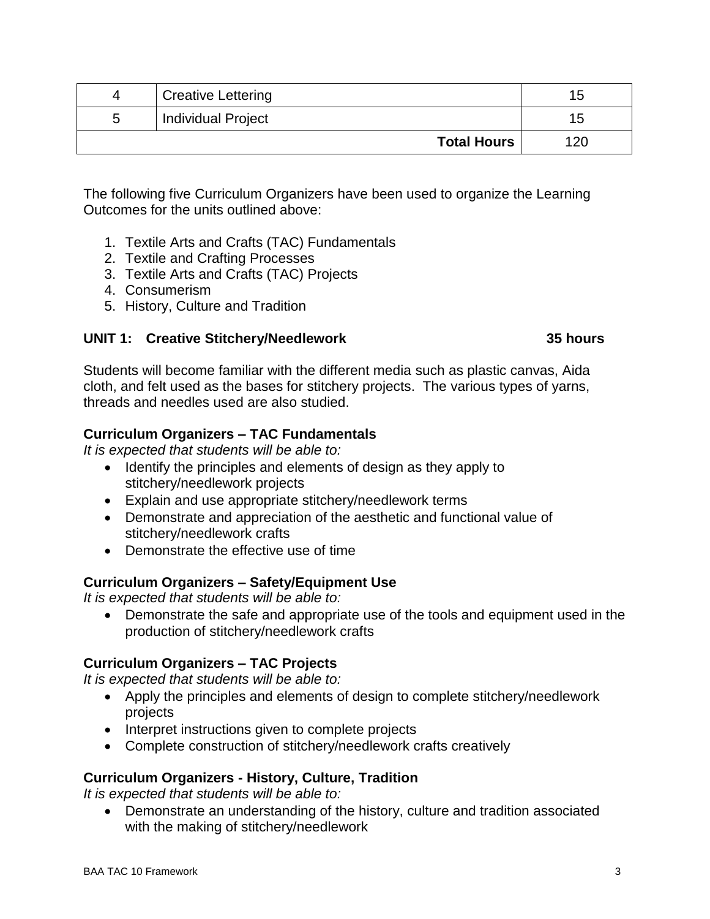| 4 | <b>Creative Lettering</b> | l b |
|---|---------------------------|-----|
| b | <b>Individual Project</b> | 15. |
|   | <b>Total Hours</b>        | 120 |

The following five Curriculum Organizers have been used to organize the Learning Outcomes for the units outlined above:

- 1. Textile Arts and Crafts (TAC) Fundamentals
- 2. Textile and Crafting Processes
- 3. Textile Arts and Crafts (TAC) Projects
- 4. Consumerism
- 5. History, Culture and Tradition

#### **UNIT 1: Creative Stitchery/Needlework 35 hours**

Students will become familiar with the different media such as plastic canvas, Aida cloth, and felt used as the bases for stitchery projects. The various types of yarns, threads and needles used are also studied.

#### **Curriculum Organizers – TAC Fundamentals**

*It is expected that students will be able to:*

- Identify the principles and elements of design as they apply to stitchery/needlework projects
- Explain and use appropriate stitchery/needlework terms
- Demonstrate and appreciation of the aesthetic and functional value of stitchery/needlework crafts
- Demonstrate the effective use of time

# **Curriculum Organizers – Safety/Equipment Use**

*It is expected that students will be able to:*

 Demonstrate the safe and appropriate use of the tools and equipment used in the production of stitchery/needlework crafts

# **Curriculum Organizers – TAC Projects**

*It is expected that students will be able to:*

- Apply the principles and elements of design to complete stitchery/needlework projects
- Interpret instructions given to complete projects
- Complete construction of stitchery/needlework crafts creatively

# **Curriculum Organizers - History, Culture, Tradition**

*It is expected that students will be able to:*

 Demonstrate an understanding of the history, culture and tradition associated with the making of stitchery/needlework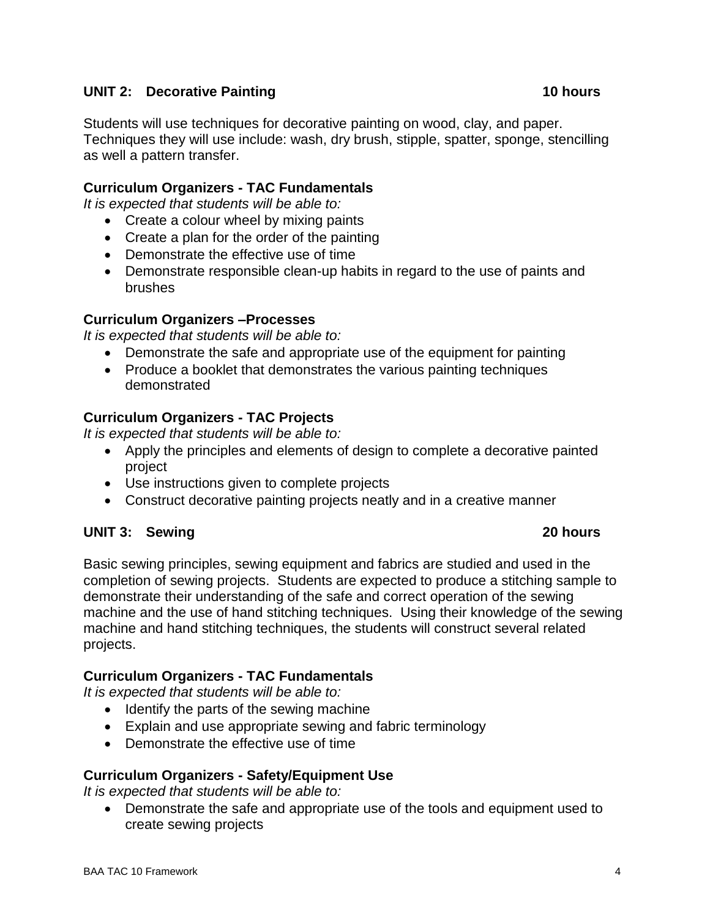# **UNIT 2:** Decorative Painting 10 hours

Students will use techniques for decorative painting on wood, clay, and paper. Techniques they will use include: wash, dry brush, stipple, spatter, sponge, stencilling as well a pattern transfer.

#### **Curriculum Organizers - TAC Fundamentals**

*It is expected that students will be able to:*

- Create a colour wheel by mixing paints
- Create a plan for the order of the painting
- Demonstrate the effective use of time
- Demonstrate responsible clean-up habits in regard to the use of paints and brushes

#### **Curriculum Organizers –Processes**

*It is expected that students will be able to:*

- Demonstrate the safe and appropriate use of the equipment for painting
- Produce a booklet that demonstrates the various painting techniques demonstrated

#### **Curriculum Organizers - TAC Projects**

*It is expected that students will be able to:*

- Apply the principles and elements of design to complete a decorative painted project
- Use instructions given to complete projects
- Construct decorative painting projects neatly and in a creative manner

#### **UNIT 3: Sewing 20 hours**

Basic sewing principles, sewing equipment and fabrics are studied and used in the completion of sewing projects. Students are expected to produce a stitching sample to demonstrate their understanding of the safe and correct operation of the sewing machine and the use of hand stitching techniques. Using their knowledge of the sewing machine and hand stitching techniques, the students will construct several related projects.

#### **Curriculum Organizers - TAC Fundamentals**

*It is expected that students will be able to:*

- Identify the parts of the sewing machine
- Explain and use appropriate sewing and fabric terminology
- Demonstrate the effective use of time

# **Curriculum Organizers - Safety/Equipment Use**

*It is expected that students will be able to:*

 Demonstrate the safe and appropriate use of the tools and equipment used to create sewing projects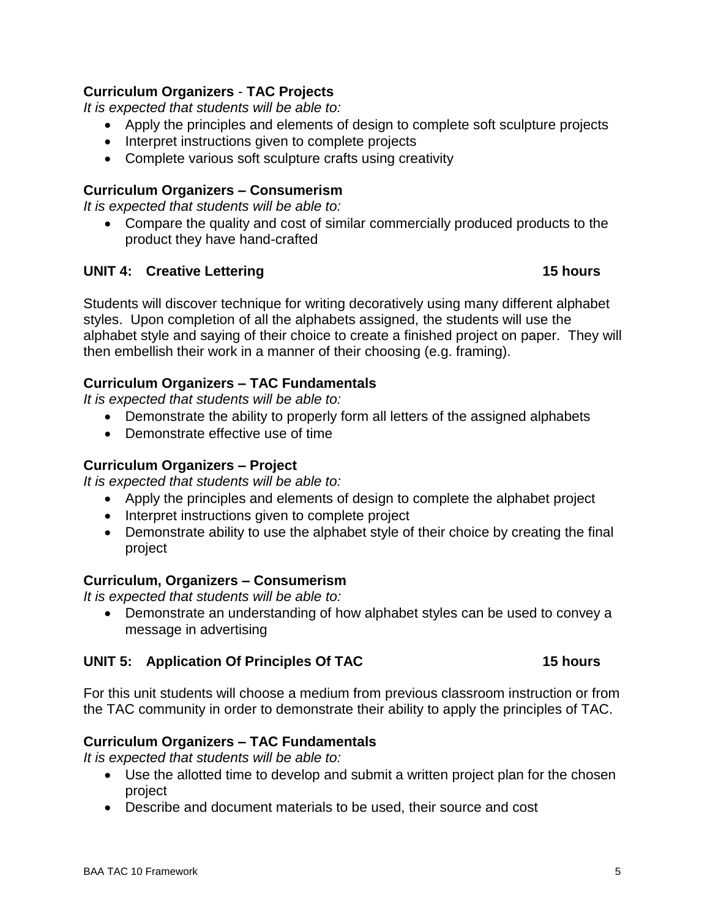# **Curriculum Organizers** - **TAC Projects**

*It is expected that students will be able to:*

- Apply the principles and elements of design to complete soft sculpture projects
- Interpret instructions given to complete projects
- Complete various soft sculpture crafts using creativity

# **Curriculum Organizers – Consumerism**

*It is expected that students will be able to:*

 Compare the quality and cost of similar commercially produced products to the product they have hand-crafted

# **UNIT 4: Creative Lettering 15 hours**

Students will discover technique for writing decoratively using many different alphabet styles. Upon completion of all the alphabets assigned, the students will use the alphabet style and saying of their choice to create a finished project on paper. They will then embellish their work in a manner of their choosing (e.g. framing).

# **Curriculum Organizers – TAC Fundamentals**

*It is expected that students will be able to:*

- Demonstrate the ability to properly form all letters of the assigned alphabets
- Demonstrate effective use of time

# **Curriculum Organizers – Project**

*It is expected that students will be able to:*

- Apply the principles and elements of design to complete the alphabet project
- Interpret instructions given to complete project
- Demonstrate ability to use the alphabet style of their choice by creating the final project

# **Curriculum, Organizers – Consumerism**

*It is expected that students will be able to:*

 Demonstrate an understanding of how alphabet styles can be used to convey a message in advertising

# **UNIT 5: Application Of Principles Of TAC 15 hours**

For this unit students will choose a medium from previous classroom instruction or from the TAC community in order to demonstrate their ability to apply the principles of TAC.

# **Curriculum Organizers – TAC Fundamentals**

*It is expected that students will be able to:*

- Use the allotted time to develop and submit a written project plan for the chosen project
- Describe and document materials to be used, their source and cost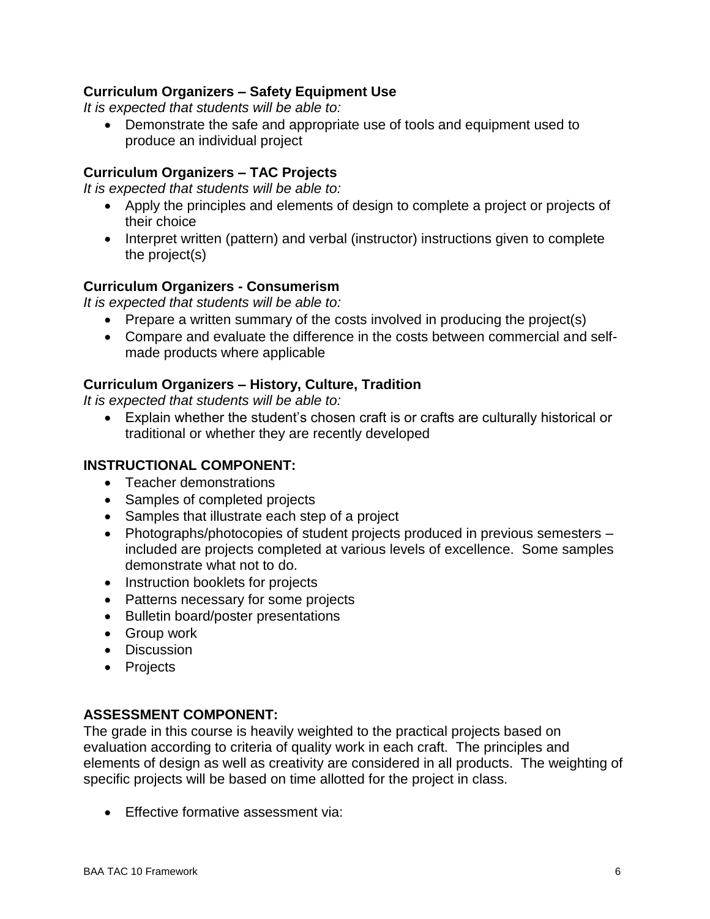# **Curriculum Organizers – Safety Equipment Use**

*It is expected that students will be able to:*

 Demonstrate the safe and appropriate use of tools and equipment used to produce an individual project

# **Curriculum Organizers – TAC Projects**

*It is expected that students will be able to:*

- Apply the principles and elements of design to complete a project or projects of their choice
- Interpret written (pattern) and verbal (instructor) instructions given to complete the project(s)

# **Curriculum Organizers - Consumerism**

*It is expected that students will be able to:*

- Prepare a written summary of the costs involved in producing the project(s)
- Compare and evaluate the difference in the costs between commercial and selfmade products where applicable

# **Curriculum Organizers – History, Culture, Tradition**

*It is expected that students will be able to:*

 Explain whether the student's chosen craft is or crafts are culturally historical or traditional or whether they are recently developed

# **INSTRUCTIONAL COMPONENT:**

- Teacher demonstrations
- Samples of completed projects
- Samples that illustrate each step of a project
- Photographs/photocopies of student projects produced in previous semesters included are projects completed at various levels of excellence. Some samples demonstrate what not to do.
- Instruction booklets for projects
- Patterns necessary for some projects
- Bulletin board/poster presentations
- Group work
- Discussion
- Projects

# **ASSESSMENT COMPONENT:**

The grade in this course is heavily weighted to the practical projects based on evaluation according to criteria of quality work in each craft. The principles and elements of design as well as creativity are considered in all products. The weighting of specific projects will be based on time allotted for the project in class.

• Effective formative assessment via: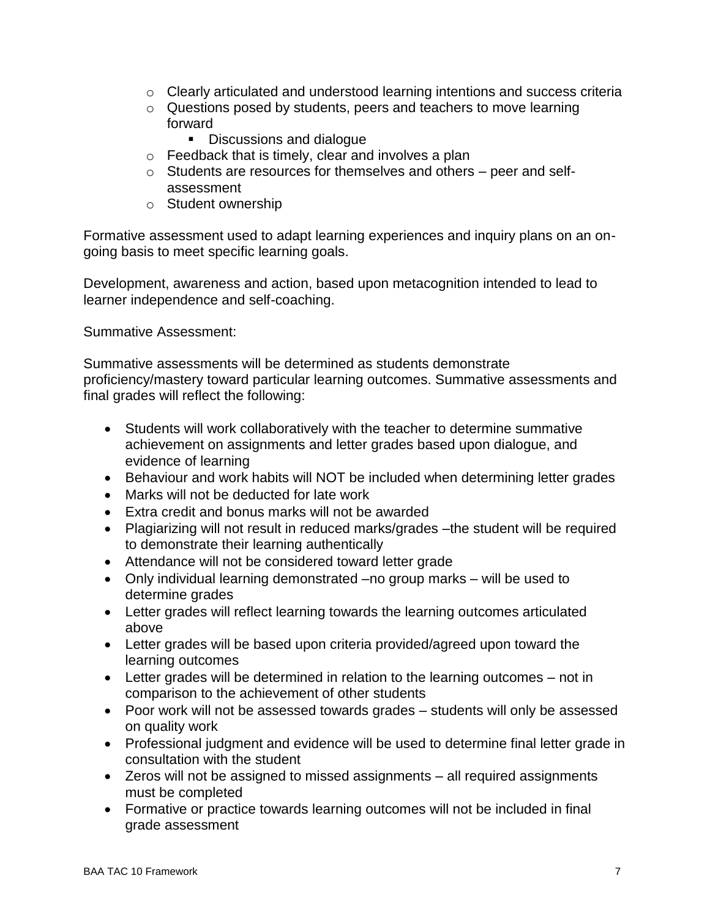- o Clearly articulated and understood learning intentions and success criteria
- o Questions posed by students, peers and teachers to move learning forward
	- Discussions and dialogue
- o Feedback that is timely, clear and involves a plan
- o Students are resources for themselves and others peer and selfassessment
- o Student ownership

Formative assessment used to adapt learning experiences and inquiry plans on an ongoing basis to meet specific learning goals.

Development, awareness and action, based upon metacognition intended to lead to learner independence and self-coaching.

Summative Assessment:

Summative assessments will be determined as students demonstrate proficiency/mastery toward particular learning outcomes. Summative assessments and final grades will reflect the following:

- Students will work collaboratively with the teacher to determine summative achievement on assignments and letter grades based upon dialogue, and evidence of learning
- Behaviour and work habits will NOT be included when determining letter grades
- Marks will not be deducted for late work
- Extra credit and bonus marks will not be awarded
- Plagiarizing will not result in reduced marks/grades –the student will be required to demonstrate their learning authentically
- Attendance will not be considered toward letter grade
- Only individual learning demonstrated –no group marks will be used to determine grades
- Letter grades will reflect learning towards the learning outcomes articulated above
- Letter grades will be based upon criteria provided/agreed upon toward the learning outcomes
- Letter grades will be determined in relation to the learning outcomes not in comparison to the achievement of other students
- Poor work will not be assessed towards grades students will only be assessed on quality work
- Professional judgment and evidence will be used to determine final letter grade in consultation with the student
- Zeros will not be assigned to missed assignments all required assignments must be completed
- Formative or practice towards learning outcomes will not be included in final grade assessment